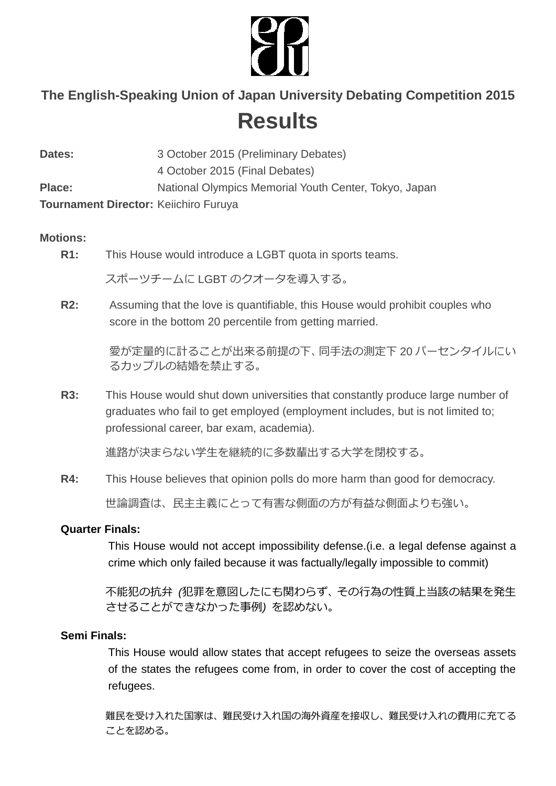

# **The English-Speaking Union of Japan University Debating Competition 2015 Results**

**Dates:** 3 October 2015 (Preliminary Debates) 4 October 2015 (Final Debates) **Place:** National Olympics Memorial Youth Center, Tokyo, Japan **Tournament Director:** Keiichiro Furuya

#### **Motions:**

**R1:** This House would introduce a LGBT quota in sports teams.

スポーツチームに LGBT のクオータを導入する。

**R2:** Assuming that the love is quantifiable, this House would prohibit couples who score in the bottom 20 percentile from getting married.

> 愛が定量的に計ることが出来る前提の下、同手法の測定下 20 パーセンタイルにい るカップルの結婚を禁止する。

**R3:** This House would shut down universities that constantly produce large number of graduates who fail to get employed (employment includes, but is not limited to; professional career, bar exam, academia).

進路が決まらない学生を継続的に多数輩出する大学を閉校する。

**R4:** This House believes that opinion polls do more harm than good for democracy. 世論調査は、民主主義にとって有害な側面の方が有益な側面よりも強い。

#### **Quarter Finals:**

This House would not accept impossibility defense.(i.e. a legal defense against a crime which only failed because it was factually/legally impossible to commit)

不能犯の抗弁 *(*犯罪を意図したにも関わらず、その行為の性質上当該の結果を発生 させることができなかった事例*)* を認めない。

#### **Semi Finals:**

This House would allow states that accept refugees to seize the overseas assets of the states the refugees come from, in order to cover the cost of accepting the refugees.

難民を受け入れた国家は、難民受け入れ国の海外資産を接収し、難民受け入れの費用に充てる ことを認める。